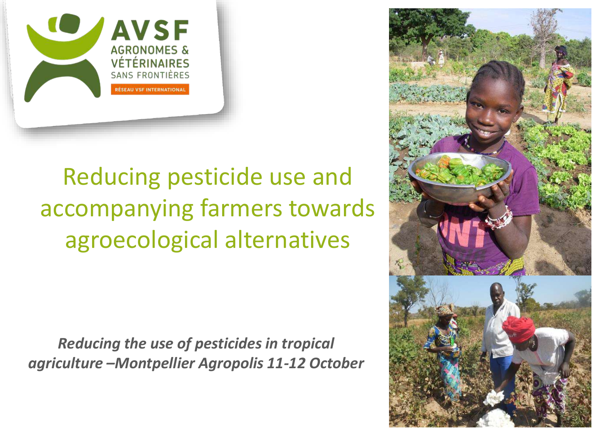

# Reducing pesticide use and accompanying farmers towards agroecological alternatives

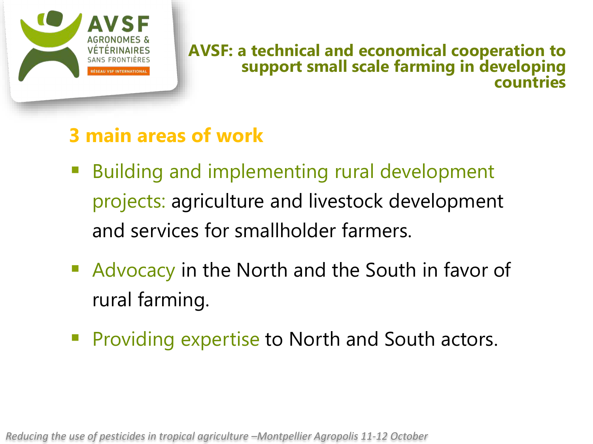

#### **AVSF: a technical and economical cooperation to support small scale farming in developing countries**

### **3 main areas of work**

- Building and implementing rural development projects: agriculture and livestock development and services for smallholder farmers.
- Advocacy in the North and the South in favor of rural farming.
- **Providing expertise to North and South actors.**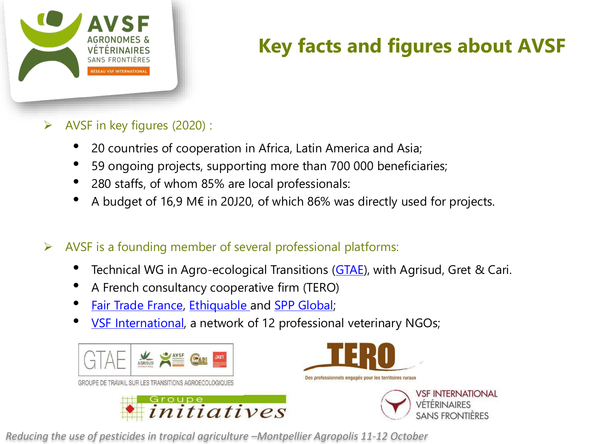

## **Key facts and figures about AVSF**

- $\triangleright$  AVSF in key figures (2020) :
	- 20 countries of cooperation in Africa, Latin America and Asia;
	- 59 ongoing projects, supporting more than 700 000 beneficiaries;
	- 280 staffs, of whom 85% are local professionals:
	- A budget of 16,9 M€ in 20J20, of which 86% was directly used for projects.
- $\triangleright$  AVSF is a founding member of several professional platforms:
	- Technical WG in Agro-ecological Transitions ([GTAE\)](https://www.avsf.org/fr/posts/2227/full), with Agrisud, Gret & Cari.
	- A French consultancy cooperative firm (TERO)
	- **[Fair Trade France](https://www.commercequitable.org/), [Ethiquable](https://www.ethiquable.coop/) and [SPP Global;](https://spp.coop/the-spp/what-is-spp-global/?lang=en)**
	- **VSF International**, a network of 12 professional veterinary NGOs;





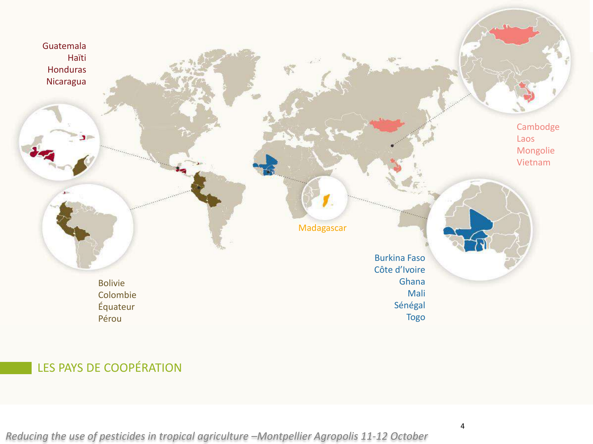

#### LES PAYS DE COOPÉRATION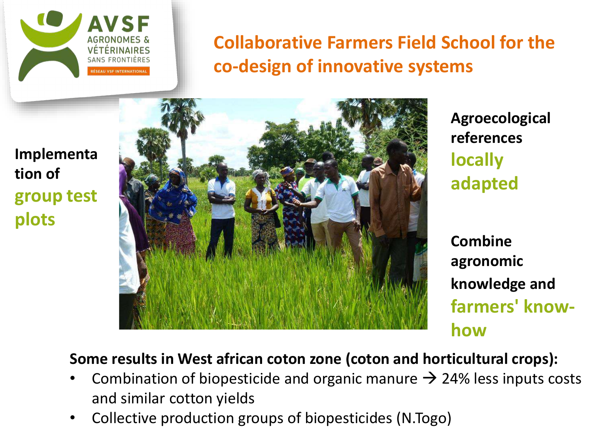

**Collaborative Farmers Field School for the co-design of innovative systems**

**Implementa tion of group test plots** 



**Agroecological references locally adapted**

**Combine agronomic knowledge and farmers' knowhow**

#### **Some results in West african coton zone (coton and horticultural crops):**

- Combination of biopesticide and organic manure  $\rightarrow$  24% less inputs costs and similar cotton yields
- Collective production groups of biopesticides (N.Togo)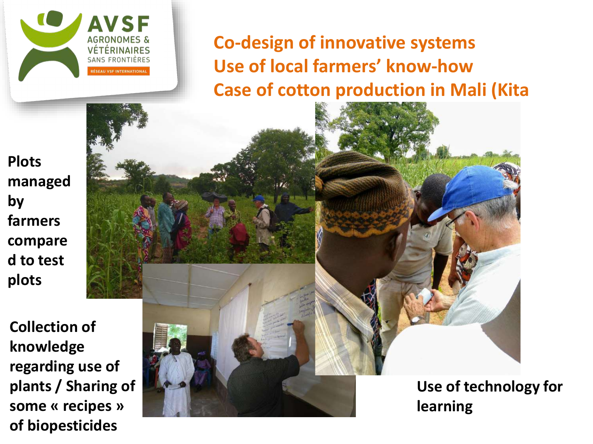

**Co-design of innovative systems Use of local farmers' know-how Case of cotton production in Mali (Kita** 

**Plots managed by farmers compare d to test plots** 

**Collection of knowledge regarding use of plants / Sharing of some « recipes » of biopesticides**

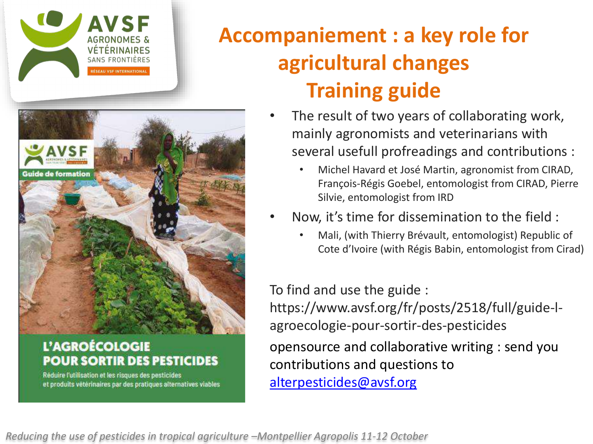



#### L'AGROÉCOLOGIE **POUR SORTIR DES PESTICIDES**

Réduire l'utilisation et les risques des pesticides et produits vétérinaires par des pratiques alternatives viables

# **Accompaniement : a key role for agricultural changes Training guide**

- The result of two years of collaborating work, mainly agronomists and veterinarians with several usefull profreadings and contributions :
	- Michel Havard et José Martin, agronomist from CIRAD, François-Régis Goebel, entomologist from CIRAD, Pierre Silvie, entomologist from IRD
- Now, it's time for dissemination to the field :
	- Mali, (with Thierry Brévault, entomologist) Republic of Cote d'Ivoire (with Régis Babin, entomologist from Cirad)

To find and use the guide :

https://www.avsf.org/fr/posts/2518/full/guide-lagroecologie-pour-sortir-des-pesticides

opensource and collaborative writing : send you contributions and questions to [alterpesticides@avsf.org](mailto:alterpesticides@avsf.org)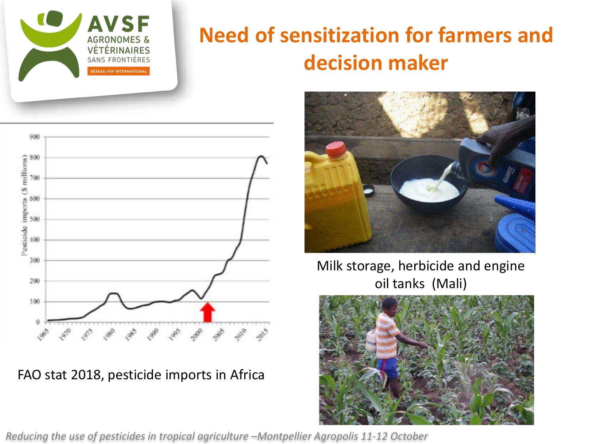

### **Need of sensitization for farmers and decision maker**



FAO stat 2018, pesticide imports in Africa



Milk storage, herbicide and engine oil tanks (Mali)